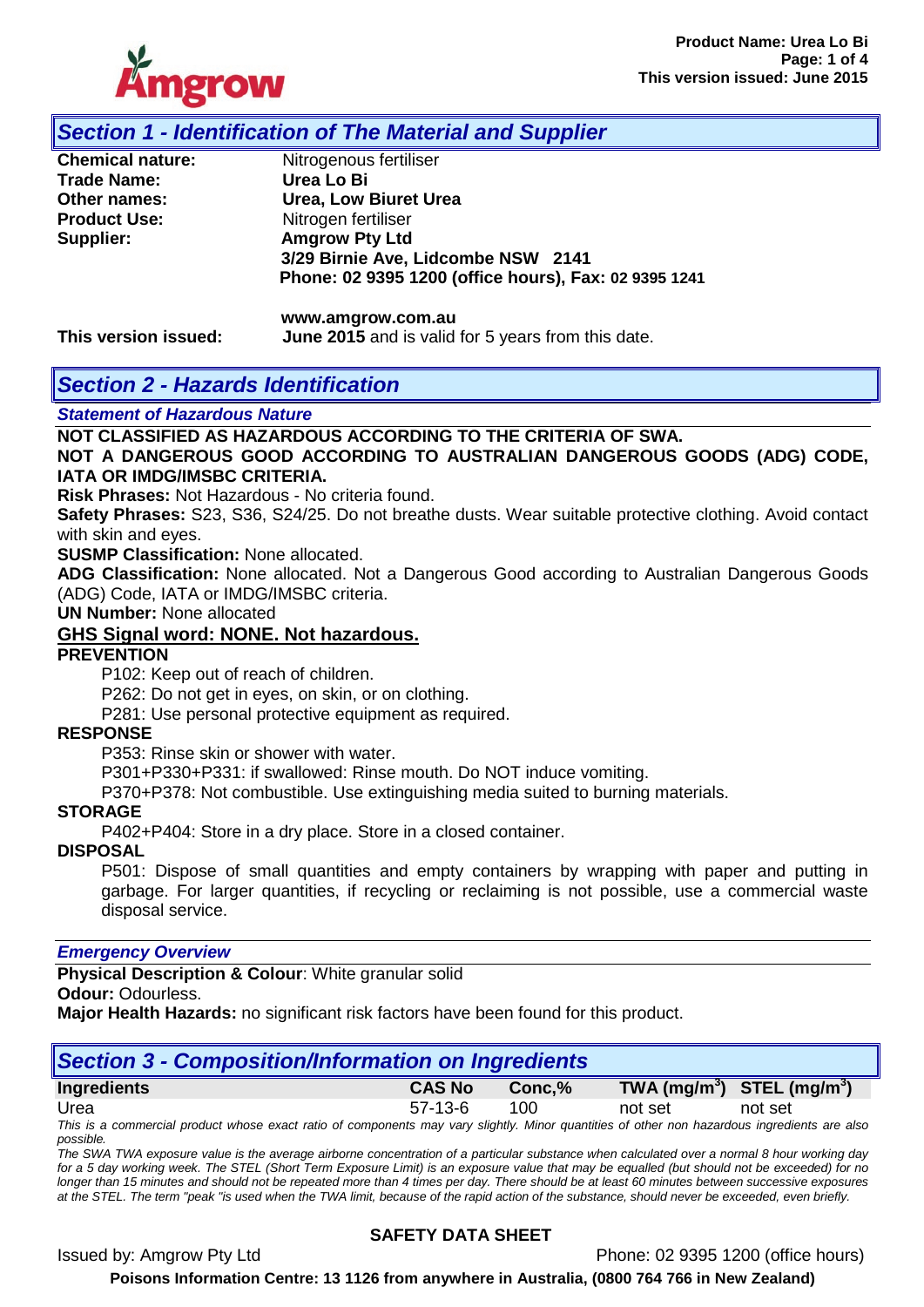

## *Section 1 - Identification of The Material and Supplier*

| <b>Chemical nature:</b> | Nitrogenous fertiliser                                |
|-------------------------|-------------------------------------------------------|
| Trade Name:             | Urea Lo Bi                                            |
| Other names:            | <b>Urea, Low Biuret Urea</b>                          |
| <b>Product Use:</b>     | Nitrogen fertiliser                                   |
| Supplier:               | <b>Amgrow Pty Ltd</b>                                 |
|                         | 3/29 Birnie Ave, Lidcombe NSW 2141                    |
|                         | Phone: 02 9395 1200 (office hours), Fax: 02 9395 1241 |
|                         |                                                       |

**www.amgrow.com.au This version issued: June 2015** and is valid for 5 years from this date.

## *Section 2 - Hazards Identification*

*Statement of Hazardous Nature* 

**NOT CLASSIFIED AS HAZARDOUS ACCORDING TO THE CRITERIA OF SWA.** 

**NOT A DANGEROUS GOOD ACCORDING TO AUSTRALIAN DANGEROUS GOODS (ADG) CODE, IATA OR IMDG/IMSBC CRITERIA.**

**Risk Phrases:** Not Hazardous - No criteria found.

**Safety Phrases:** S23, S36, S24/25. Do not breathe dusts. Wear suitable protective clothing. Avoid contact with skin and eyes.

**SUSMP Classification:** None allocated.

**ADG Classification:** None allocated. Not a Dangerous Good according to Australian Dangerous Goods (ADG) Code, IATA or IMDG/IMSBC criteria.

**UN Number:** None allocated

#### **GHS Signal word: NONE. Not hazardous.**

#### **PREVENTION**

P102: Keep out of reach of children.

P262: Do not get in eyes, on skin, or on clothing.

P281: Use personal protective equipment as required.

#### **RESPONSE**

P353: Rinse skin or shower with water.

P301+P330+P331: if swallowed: Rinse mouth. Do NOT induce vomiting.

P370+P378: Not combustible. Use extinguishing media suited to burning materials.

#### **STORAGE**

P402+P404: Store in a dry place. Store in a closed container.

#### **DISPOSAL**

P501: Dispose of small quantities and empty containers by wrapping with paper and putting in garbage. For larger quantities, if recycling or reclaiming is not possible, use a commercial waste disposal service.

#### *Emergency Overview*

**Physical Description & Colour**: White granular solid

**Odour:** Odourless.

**Major Health Hazards:** no significant risk factors have been found for this product.

| Section 3 - Composition/Information on Ingredients                                                                                           |               |        |         |                                |  |  |
|----------------------------------------------------------------------------------------------------------------------------------------------|---------------|--------|---------|--------------------------------|--|--|
| Ingredients                                                                                                                                  | <b>CAS No</b> | Conc.% |         | TWA $(mg/m^3)$ STEL $(mg/m^3)$ |  |  |
| Urea                                                                                                                                         | $57-13-6$     | 100    | not set | not set                        |  |  |
| This is a commercial product whose exact ratio of components may vary slightly. Minor quantities of other non hazardous ingredients are also |               |        |         |                                |  |  |

*possible. The SWA TWA exposure value is the average airborne concentration of a particular substance when calculated over a normal 8 hour working day* 

*for a 5 day working week. The STEL (Short Term Exposure Limit) is an exposure value that may be equalled (but should not be exceeded) for no longer than 15 minutes and should not be repeated more than 4 times per day. There should be at least 60 minutes between successive exposures at the STEL. The term "peak "is used when the TWA limit, because of the rapid action of the substance, should never be exceeded, even briefly.*

## **SAFETY DATA SHEET**

Issued by: Amgrow Pty Ltd Phone: 02 9395 1200 (office hours)

**Poisons Information Centre: 13 1126 from anywhere in Australia, (0800 764 766 in New Zealand)**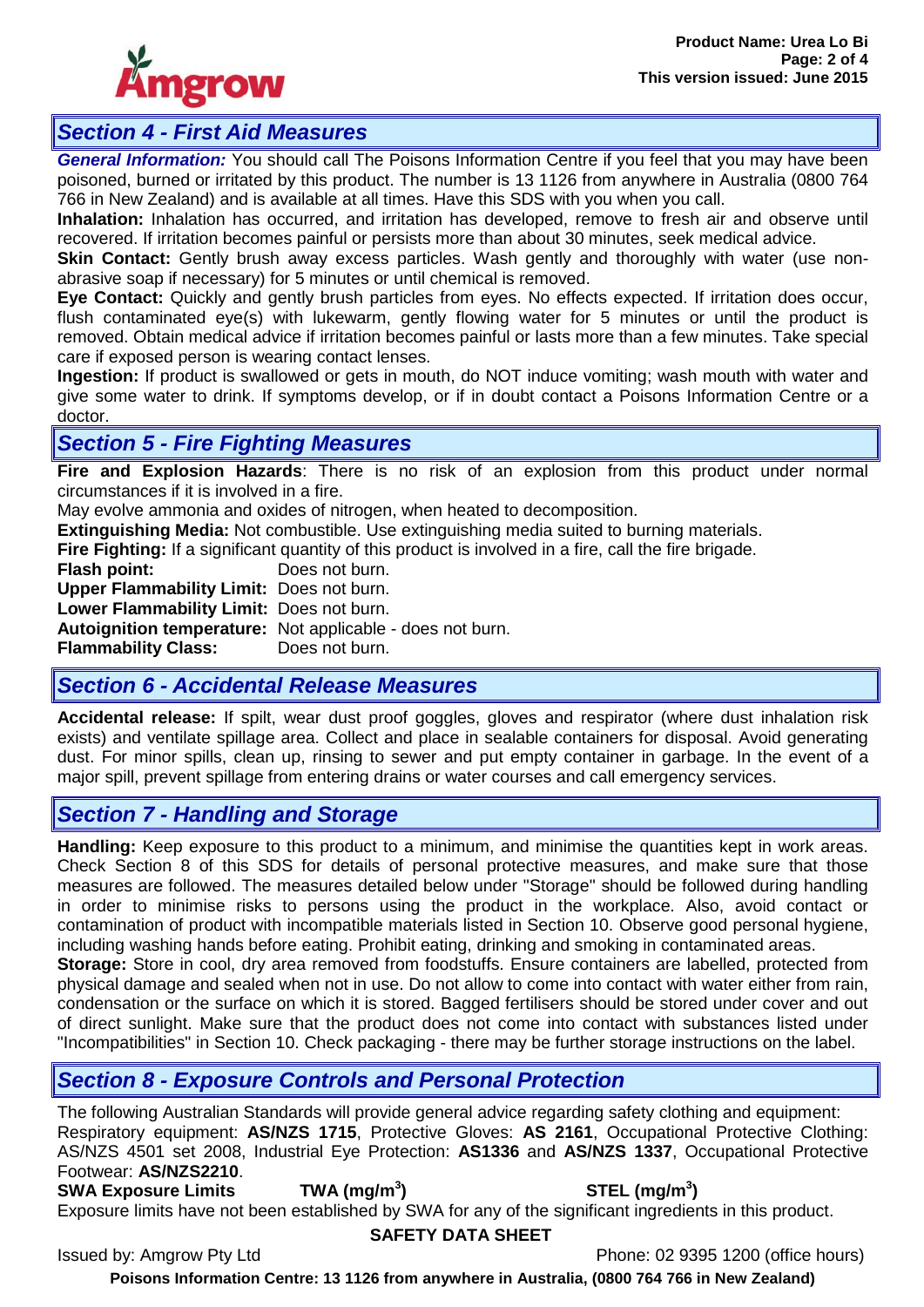

# *Section 4 - First Aid Measures*

*General Information:* You should call The Poisons Information Centre if you feel that you may have been poisoned, burned or irritated by this product. The number is 13 1126 from anywhere in Australia (0800 764 766 in New Zealand) and is available at all times. Have this SDS with you when you call.

**Inhalation:** Inhalation has occurred, and irritation has developed, remove to fresh air and observe until recovered. If irritation becomes painful or persists more than about 30 minutes, seek medical advice.

**Skin Contact:** Gently brush away excess particles. Wash gently and thoroughly with water (use nonabrasive soap if necessary) for 5 minutes or until chemical is removed.

**Eye Contact:** Quickly and gently brush particles from eyes. No effects expected. If irritation does occur, flush contaminated eye(s) with lukewarm, gently flowing water for 5 minutes or until the product is removed. Obtain medical advice if irritation becomes painful or lasts more than a few minutes. Take special care if exposed person is wearing contact lenses.

**Ingestion:** If product is swallowed or gets in mouth, do NOT induce vomiting; wash mouth with water and give some water to drink. If symptoms develop, or if in doubt contact a Poisons Information Centre or a doctor.

## *Section 5 - Fire Fighting Measures*

**Fire and Explosion Hazards**: There is no risk of an explosion from this product under normal circumstances if it is involved in a fire.

May evolve ammonia and oxides of nitrogen, when heated to decomposition.

**Extinguishing Media:** Not combustible. Use extinguishing media suited to burning materials.

**Fire Fighting:** If a significant quantity of this product is involved in a fire, call the fire brigade.

**Flash point:** Does not burn. **Upper Flammability Limit:** Does not burn. **Lower Flammability Limit:** Does not burn.

**Autoignition temperature:** Not applicable - does not burn.

**Flammability Class:** 

## *Section 6 - Accidental Release Measures*

**Accidental release:** If spilt, wear dust proof goggles, gloves and respirator (where dust inhalation risk exists) and ventilate spillage area. Collect and place in sealable containers for disposal. Avoid generating dust. For minor spills, clean up, rinsing to sewer and put empty container in garbage. In the event of a major spill, prevent spillage from entering drains or water courses and call emergency services.

# *Section 7 - Handling and Storage*

**Handling:** Keep exposure to this product to a minimum, and minimise the quantities kept in work areas. Check Section 8 of this SDS for details of personal protective measures, and make sure that those measures are followed. The measures detailed below under "Storage" should be followed during handling in order to minimise risks to persons using the product in the workplace. Also, avoid contact or contamination of product with incompatible materials listed in Section 10. Observe good personal hygiene, including washing hands before eating. Prohibit eating, drinking and smoking in contaminated areas.

**Storage:** Store in cool, dry area removed from foodstuffs. Ensure containers are labelled, protected from physical damage and sealed when not in use. Do not allow to come into contact with water either from rain, condensation or the surface on which it is stored. Bagged fertilisers should be stored under cover and out of direct sunlight. Make sure that the product does not come into contact with substances listed under "Incompatibilities" in Section 10. Check packaging - there may be further storage instructions on the label.

# *Section 8 - Exposure Controls and Personal Protection*

The following Australian Standards will provide general advice regarding safety clothing and equipment: Respiratory equipment: **AS/NZS 1715**, Protective Gloves: **AS 2161**, Occupational Protective Clothing: AS/NZS 4501 set 2008, Industrial Eye Protection: **AS1336** and **AS/NZS 1337**, Occupational Protective Footwear: **AS/NZS2210**.

**SWA Exposure Limits TWA (mg/m<sup>3</sup>**

## **) STEL (mg/m<sup>3</sup> )**

Exposure limits have not been established by SWA for any of the significant ingredients in this product.

Issued by: Amgrow Pty Ltd Phone: 02 9395 1200 (office hours)

**Poisons Information Centre: 13 1126 from anywhere in Australia, (0800 764 766 in New Zealand)**

**SAFETY DATA SHEET**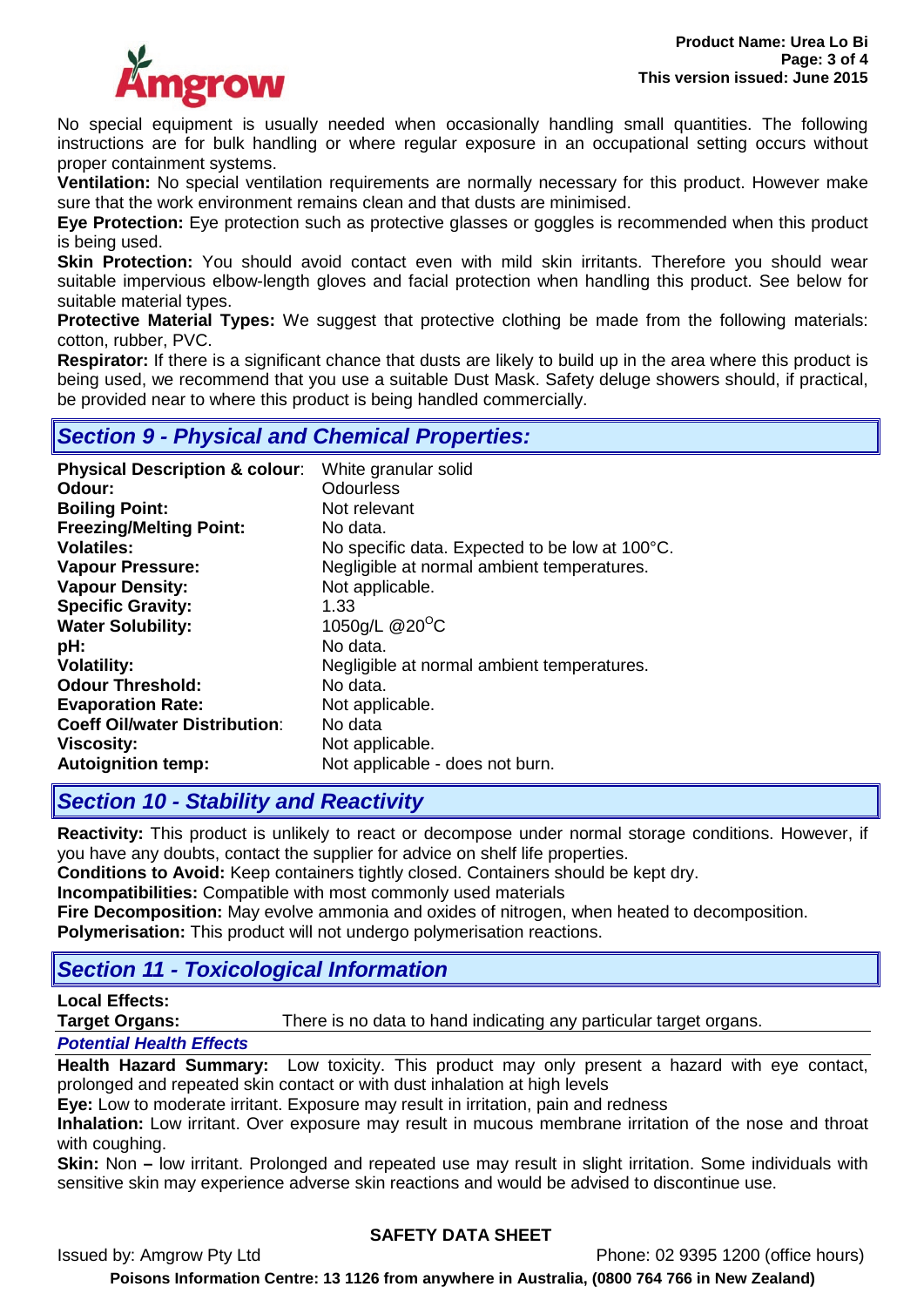

No special equipment is usually needed when occasionally handling small quantities. The following instructions are for bulk handling or where regular exposure in an occupational setting occurs without proper containment systems.

**Ventilation:** No special ventilation requirements are normally necessary for this product. However make sure that the work environment remains clean and that dusts are minimised.

**Eye Protection:** Eye protection such as protective glasses or goggles is recommended when this product is being used.

**Skin Protection:** You should avoid contact even with mild skin irritants. Therefore you should wear suitable impervious elbow-length gloves and facial protection when handling this product. See below for suitable material types.

**Protective Material Types:** We suggest that protective clothing be made from the following materials: cotton, rubber, PVC.

**Respirator:** If there is a significant chance that dusts are likely to build up in the area where this product is being used, we recommend that you use a suitable Dust Mask. Safety deluge showers should, if practical, be provided near to where this product is being handled commercially.

## *Section 9 - Physical and Chemical Properties:*

| <b>Physical Description &amp; colour:</b> | White granular solid                           |
|-------------------------------------------|------------------------------------------------|
| Odour:                                    | <b>Odourless</b>                               |
| <b>Boiling Point:</b>                     | Not relevant                                   |
| <b>Freezing/Melting Point:</b>            | No data.                                       |
| <b>Volatiles:</b>                         | No specific data. Expected to be low at 100°C. |
| <b>Vapour Pressure:</b>                   | Negligible at normal ambient temperatures.     |
| <b>Vapour Density:</b>                    | Not applicable.                                |
| <b>Specific Gravity:</b>                  | 1.33                                           |
| <b>Water Solubility:</b>                  | 1050g/L @20°C                                  |
| pH:                                       | No data.                                       |
| <b>Volatility:</b>                        | Negligible at normal ambient temperatures.     |
| <b>Odour Threshold:</b>                   | No data.                                       |
| <b>Evaporation Rate:</b>                  | Not applicable.                                |
| <b>Coeff Oil/water Distribution:</b>      | No data                                        |
| <b>Viscosity:</b>                         | Not applicable.                                |
| <b>Autoignition temp:</b>                 | Not applicable - does not burn.                |

## *Section 10 - Stability and Reactivity*

**Reactivity:** This product is unlikely to react or decompose under normal storage conditions. However, if you have any doubts, contact the supplier for advice on shelf life properties.

**Conditions to Avoid:** Keep containers tightly closed. Containers should be kept dry.

**Incompatibilities:** Compatible with most commonly used materials

**Fire Decomposition:** May evolve ammonia and oxides of nitrogen, when heated to decomposition. **Polymerisation:** This product will not undergo polymerisation reactions.

## *Section 11 - Toxicological Information*

## **Local Effects:**

**Target Organs:** There is no data to hand indicating any particular target organs.

#### *Potential Health Effects*

**Health Hazard Summary:** Low toxicity. This product may only present a hazard with eye contact, prolonged and repeated skin contact or with dust inhalation at high levels

**Eye:** Low to moderate irritant. Exposure may result in irritation, pain and redness

**Inhalation:** Low irritant. Over exposure may result in mucous membrane irritation of the nose and throat with coughing.

**Skin:** Non **–** low irritant. Prolonged and repeated use may result in slight irritation. Some individuals with sensitive skin may experience adverse skin reactions and would be advised to discontinue use.

## **SAFETY DATA SHEET**

Issued by: Amgrow Pty Ltd Phone: 02 9395 1200 (office hours)

**Poisons Information Centre: 13 1126 from anywhere in Australia, (0800 764 766 in New Zealand)**